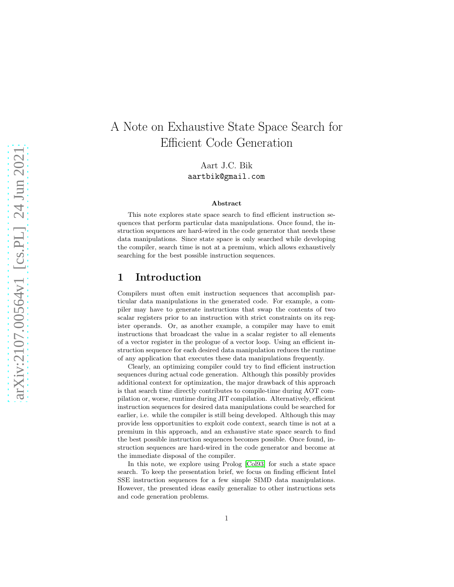# A Note on Exhaustive State Space Search for Efficient Code Generation

Aart J.C. Bik aartbik@gmail.com

#### Abstract

This note explores state space search to find efficient instruction sequences that perform particular data manipulations. Once found, the instruction sequences are hard-wired in the code generator that needs these data manipulations. Since state space is only searched while developing the compiler, search time is not at a premium, which allows exhaustively searching for the best possible instruction sequences.

## 1 Introduction

Compilers must often emit instruction sequences that accomplish particular data manipulations in the generated code. For example, a compiler may have to generate instructions that swap the contents of two scalar registers prior to an instruction with strict constraints on its register operands. Or, as another example, a compiler may have to emit instructions that broadcast the value in a scalar register to all elements of a vector register in the prologue of a vector loop. Using an efficient instruction sequence for each desired data manipulation reduces the runtime of any application that executes these data manipulations frequently.

Clearly, an optimizing compiler could try to find efficient instruction sequences during actual code generation. Although this possibly provides additional context for optimization, the major drawback of this approach is that search time directly contributes to compile-time during AOT compilation or, worse, runtime during JIT compilation. Alternatively, efficient instruction sequences for desired data manipulations could be searched for earlier, i.e. while the compiler is still being developed. Although this may provide less opportunities to exploit code context, search time is not at a premium in this approach, and an exhaustive state space search to find the best possible instruction sequences becomes possible. Once found, instruction sequences are hard-wired in the code generator and become at the immediate disposal of the compiler.

In this note, we explore using Prolog [\[Col93\]](#page-6-0) for such a state space search. To keep the presentation brief, we focus on finding efficient Intel SSE instruction sequences for a few simple SIMD data manipulations. However, the presented ideas easily generalize to other instructions sets and code generation problems.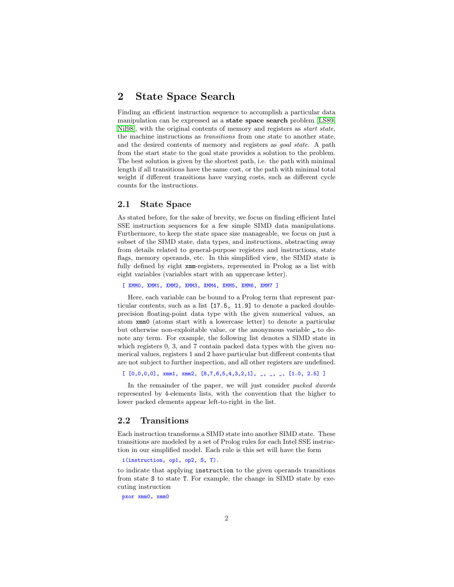## 2 State Space Search

Finding an efficient instruction sequence to accomplish a particular data manipulation can be expressed as a state space search problem [\[LS89,](#page-6-1) Nil98, with the original contents of memory and registers as *start state*, the machine instructions as transitions from one state to another state, and the desired contents of memory and registers as goal state. A path from the start state to the goal state provides a solution to the problem. The best solution is given by the shortest path, i.e. the path with minimal length if all transitions have the same cost, or the path with minimal total weight if different transitions have varying costs, such as different cycle counts for the instructions.

#### 2.1 State Space

As stated before, for the sake of brevity, we focus on finding efficient Intel SSE instruction sequences for a few simple SIMD data manipulations. Furthermore, to keep the state space size manageable, we focus on just a subset of the SIMD state, data types, and instructions, abstracting away from details related to general-purpose registers and instructions, state flags, memory operands, etc. In this simplified view, the SIMD state is fully defined by eight xmm-registers, represented in Prolog as a list with eight variables (variables start with an uppercase letter).

[ XMM0, XMM1, XMM2, XMM3, XMM4, XMM5, XMM6, XMM7 ]

Here, each variable can be bound to a Prolog term that represent particular contents, such as a list [17.5, 11.9] to denote a packed doubleprecision floating-point data type with the given numerical values, an atom xmm0 (atoms start with a lowercase letter) to denote a particular but otherwise non-exploitable value, or the anonymous variable to denote any term. For example, the following list denotes a SIMD state in which registers 0, 3, and 7 contain packed data types with the given numerical values, registers 1 and 2 have particular but different contents that are not subject to further inspection, and all other registers are undefined.

 $[ [0,0,0,0],$  xmm1, xmm2,  $[8,7,6,5,4,3,2,1],$   $\_,$   $\_,$   $\_,$   $\_,$   $[1.0, 2.5]$  ]

In the remainder of the paper, we will just consider packed dwords represented by 4-elements lists, with the convention that the higher to lower packed elements appear left-to-right in the list.

#### 2.2 Transitions

Each instruction transforms a SIMD state into another SIMD state. These transitions are modeled by a set of Prolog rules for each Intel SSE instruction in our simplified model. Each rule is this set will have the form

i(instruction, op1, op2, S, T).

to indicate that applying instruction to the given operands transitions from state S to state T. For example, the change in SIMD state by executing instruction

pxor xmm0, xmm0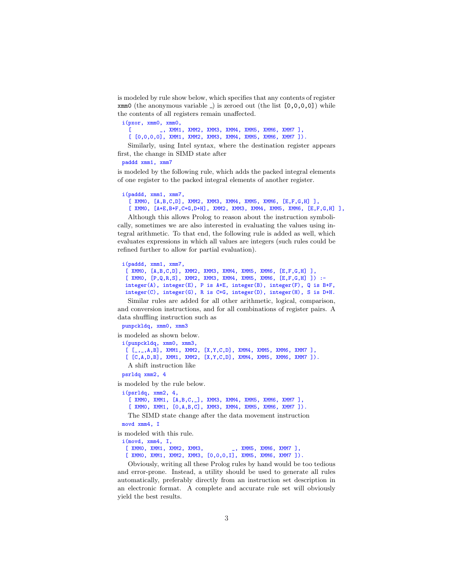is modeled by rule show below, which specifies that any contents of register  $xmm0$  (the anonymous variable ) is zeroed out (the list  $[0,0,0,0]$ ) while the contents of all registers remain unaffected.

i(pxor, xmm0, xmm0,

[ \_, XMM1, XMM2, XMM3, XMM4, XMM5, XMM6, XMM7 ], [  $[0,0,0,0]$ , XMM1, XMM2, XMM3, XMM4, XMM5, XMM6, XMM7 ]).

Similarly, using Intel syntax, where the destination register appears first, the change in SIMD state after

```
paddd xmm1, xmm7
```
is modeled by the following rule, which adds the packed integral elements of one register to the packed integral elements of another register.

```
i(paddd, xmm1, xmm7,
  [ XMMO, [A,B,C,D], XMM2, XMM3, XMM4, XMM5, XMM6, [E,F,G,H] ],
  [ XMM0, [A+E,B+F,C+G,D+H], XMM2, XMM3, XMM4, XMM5, XMM6, [E,F,G,H] ],
```
Although this allows Prolog to reason about the instruction symbolically, sometimes we are also interested in evaluating the values using integral arithmetic. To that end, the following rule is added as well, which evaluates expressions in which all values are integers (such rules could be refined further to allow for partial evaluation).

```
i(paddd, xmm1, xmm7,
 [ XMM0, [A,B,C,D], XMM2, XMM3, XMM4, XMM5, XMM6, [E,F,G,H] ],
 [ XMM0, [P,Q,R,S], XMM2, XMM3, XMM4, XMM5, XMM6, [E,F,G,H] ]) :-
 integer(A), integer(E), P is A+E, integer(B), integer(F), Q is B+F,
 integer(C), integer(G), R is C+G, integer(D), integer(H), S is D+H.
```
Similar rules are added for all other arithmetic, logical, comparison, and conversion instructions, and for all combinations of register pairs. A data shuffling instruction such as

```
punpckldq, xmm0, xmm3
```
is modeled as shown below.

i(punpckldq, xmm0, xmm3, [ [\_,\_,A,B], XMM1, XMM2, [X,Y,C,D], XMM4, XMM5, XMM6, XMM7 ], [  $[C, A, D, B]$ , XMM1, XMM2,  $[X, Y, C, D]$ , XMM4, XMM5, XMM6, XMM7 ]). A shift instruction like psrldq xmm2, 4

is modeled by the rule below.

i(psrldq, xmm2, 4, [ XMM0, XMM1, [A,B,C, ], XMM3, XMM4, XMM5, XMM6, XMM7 ], [ XMM0, XMM1, [0,A,B,C], XMM3, XMM4, XMM5, XMM6, XMM7 ]). The SIMD state change after the data movement instruction movd xmm4, I

is modeled with this rule. i(movd, xmm4, I,

[ XMM0, XMM1, XMM2, XMM3, \_\_\_\_\_\_\_\_, XMM5, XMM6, XMM7 ], [ XMM0, XMM1, XMM2, XMM3, [0,0,0,I], XMM5, XMM6, XMM7 ]).

Obviously, writing all these Prolog rules by hand would be too tedious and error-prone. Instead, a utility should be used to generate all rules automatically, preferably directly from an instruction set description in an electronic format. A complete and accurate rule set will obviously yield the best results.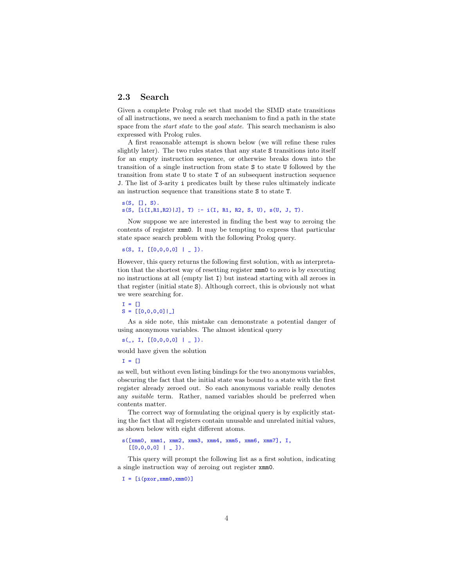## 2.3 Search

Given a complete Prolog rule set that model the SIMD state transitions of all instructions, we need a search mechanism to find a path in the state space from the *start state* to the *goal state*. This search mechanism is also expressed with Prolog rules.

A first reasonable attempt is shown below (we will refine these rules slightly later). The two rules states that any state S transitions into itself for an empty instruction sequence, or otherwise breaks down into the transition of a single instruction from state S to state U followed by the transition from state U to state T of an subsequent instruction sequence J. The list of 3-arity i predicates built by these rules ultimately indicate an instruction sequence that transitions state S to state T.

```
s(S, [], S).
s(S, [i(I, R1, R2) | J], T) :- i(I, R1, R2, S, U), s(U, J, T).
```
Now suppose we are interested in finding the best way to zeroing the contents of register xmm0. It may be tempting to express that particular state space search problem with the following Prolog query.

```
s(S, I, [0,0,0,0] | 1).
```
However, this query returns the following first solution, with as interpretation that the shortest way of resetting register xmm0 to zero is by executing no instructions at all (empty list I) but instead starting with all zeroes in that register (initial state S). Although correct, this is obviously not what we were searching for.

 $I = []$  $S = [[0,0,0,0]]$ 

As a side note, this mistake can demonstrate a potential danger of using anonymous variables. The almost identical query

 $s($ , I,  $[$ [0,0,0,0] | ]).

would have given the solution

 $T = \Box$ 

as well, but without even listing bindings for the two anonymous variables, obscuring the fact that the initial state was bound to a state with the first register already zeroed out. So each anonymous variable really denotes any suitable term. Rather, named variables should be preferred when contents matter.

The correct way of formulating the original query is by explicitly stating the fact that all registers contain unusable and unrelated initial values, as shown below with eight different atoms.

#### s([xmm0, xmm1, xmm2, xmm3, xmm4, xmm5, xmm6, xmm7], I,  $[0,0,0,0]$  |  $[$  1).

This query will prompt the following list as a first solution, indicating a single instruction way of zeroing out register xmm0.

 $I = [i(pxor, xmm0, xmm0)]$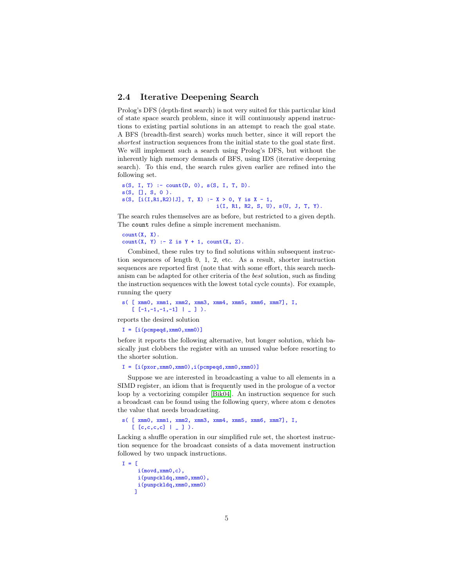### 2.4 Iterative Deepening Search

Prolog's DFS (depth-first search) is not very suited for this particular kind of state space search problem, since it will continuously append instructions to existing partial solutions in an attempt to reach the goal state. A BFS (breadth-first search) works much better, since it will report the shortest instruction sequences from the initial state to the goal state first. We will implement such a search using Prolog's DFS, but without the inherently high memory demands of BFS, using IDS (iterative deepening search). To this end, the search rules given earlier are refined into the following set.

```
s(S, I, T) :- count(D, 0), s(S, I, T, D).
s(S, \Box, S, 0).
s(S, [i(I,R1,R2)|J], T, X) :- X > 0, Y is X - 1,
                              i(I, R1, R2, S, U), s(U, J, T, Y).
```
The search rules themselves are as before, but restricted to a given depth. The count rules define a simple increment mechanism.

```
count(X, X).
count(X, Y) :- Z is Y + 1, count(X, Z).
```
Combined, these rules try to find solutions within subsequent instruction sequences of length 0, 1, 2, etc. As a result, shorter instruction sequences are reported first (note that with some effort, this search mechanism can be adapted for other criteria of the best solution, such as finding the instruction sequences with the lowest total cycle counts). For example, running the query

```
s( [ xmm0, xmm1, xmm2, xmm3, xmm4, xmm5, xmm6, xmm7], I,
   [[-1,-1,-1,-1] | ] [ ]
```
reports the desired solution

```
I = [i(pcmped, xmm0, xmm0)]
```
before it reports the following alternative, but longer solution, which basically just clobbers the register with an unused value before resorting to the shorter solution.

```
I = [i(pxor,xmm0,xmm0),i(pcmpeqd,xmm0,xmm0)]
```
Suppose we are interested in broadcasting a value to all elements in a SIMD register, an idiom that is frequently used in the prologue of a vector loop by a vectorizing compiler [\[Bik04\]](#page-6-3). An instruction sequence for such a broadcast can be found using the following query, where atom c denotes the value that needs broadcasting.

```
s( [ xmm0, xmm1, xmm2, xmm3, xmm4, xmm5, xmm6, xmm7], I,
   [ [c,c,c,c] | - ].
```
Lacking a shuffle operation in our simplified rule set, the shortest instruction sequence for the broadcast consists of a data movement instruction followed by two unpack instructions.

```
I = [i(movd,xmm0,c),
     i(punpckldq,xmm0,xmm0),
     i(punpckldq,xmm0,xmm0)
    ]
```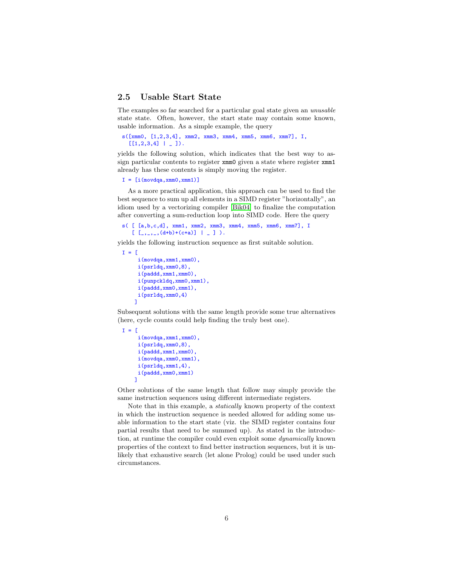## 2.5 Usable Start State

The examples so far searched for a particular goal state given an unusable state state. Often, however, the start state may contain some known, usable information. As a simple example, the query

```
s([xmm0, [1,2,3,4], xmm2, xmm3, xmm4, xmm5, xmm6, xmm7], I,
  [[1,2,3,4] | ] [
```
yields the following solution, which indicates that the best way to assign particular contents to register xmm0 given a state where register xmm1 already has these contents is simply moving the register.

```
I = [i(movdqa, xmm0, xmm1)]
```
As a more practical application, this approach can be used to find the best sequence to sum up all elements in a SIMD register "horizontally", an idiom used by a vectorizing compiler [\[Bik04\]](#page-6-3) to finalize the computation after converting a sum-reduction loop into SIMD code. Here the query

```
s( [ [a,b,c,d], xmm1, xmm2, xmm3, xmm4, xmm5, xmm6, xmm7], I
   [ [ \_ ,_- , [ (d+b)+(c+a) ] ] ] [ ] ]).
```
yields the following instruction sequence as first suitable solution.

```
I = [i(movdqa,xmm1,xmm0),
     i(psrldq,xmm0,8),
     i(paddd,xmm1,xmm0),
     i(punpckldq,xmm0,xmm1),
     i(paddd,xmm0,xmm1),
     i(psrldq,xmm0,4)
    ]
```
Subsequent solutions with the same length provide some true alternatives (here, cycle counts could help finding the truly best one).

```
I = [i(movdqa,xmm1,xmm0),
     i(psrldq,xmm0,8),
     i(paddd,xmm1,xmm0),
     i(movdqa,xmm0,xmm1),
     i(psrldq,xmm1,4),
     i(paddd,xmm0,xmm1)
    ]
```
Other solutions of the same length that follow may simply provide the same instruction sequences using different intermediate registers.

Note that in this example, a statically known property of the context in which the instruction sequence is needed allowed for adding some usable information to the start state (viz. the SIMD register contains four partial results that need to be summed up). As stated in the introduction, at runtime the compiler could even exploit some dynamically known properties of the context to find better instruction sequences, but it is unlikely that exhaustive search (let alone Prolog) could be used under such circumstances.